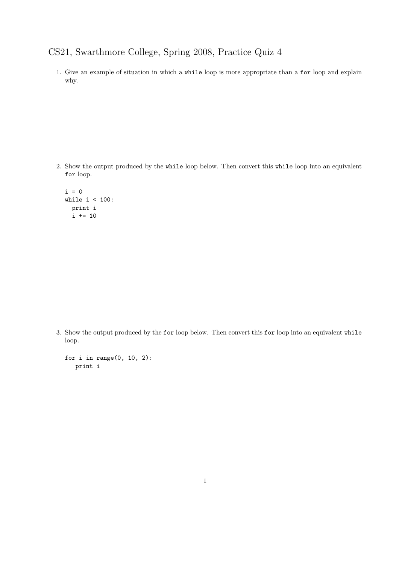## CS21, Swarthmore College, Spring 2008, Practice Quiz 4

1. Give an example of situation in which a while loop is more appropriate than a for loop and explain why.

2. Show the output produced by the while loop below. Then convert this while loop into an equivalent for loop.

 $i = 0$ while  $i < 100$ : print i  $i \neq 10$ 

3. Show the output produced by the for loop below. Then convert this for loop into an equivalent while loop.

```
for i in range(0, 10, 2):
print i
```